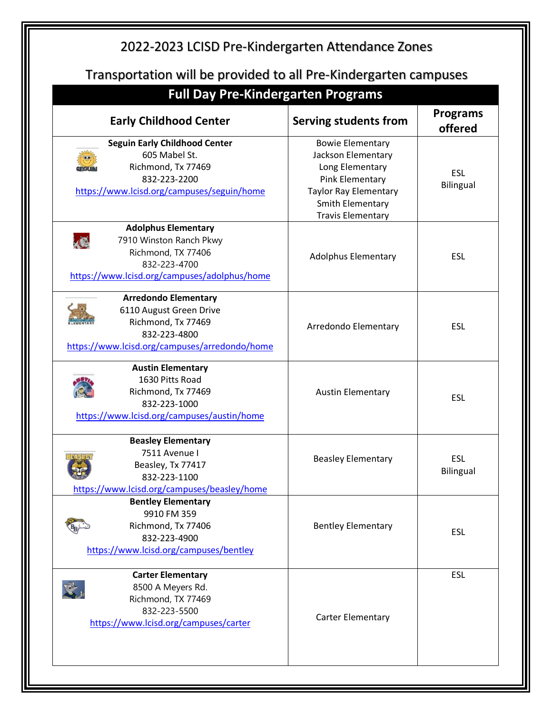| Transportation will be provided to all Pre-Kindergarten campuses<br><b>Full Day Pre-Kindergarten Programs</b><br><b>Early Childhood Center</b>   | Serving students from                                                                                                                                               | <b>Programs</b>                    |
|--------------------------------------------------------------------------------------------------------------------------------------------------|---------------------------------------------------------------------------------------------------------------------------------------------------------------------|------------------------------------|
| <b>Seguin Early Childhood Center</b><br>605 Mabel St.<br>Richmond, Tx 77469<br>832-223-2200<br>https://www.lcisd.org/campuses/seguin/home        | <b>Bowie Elementary</b><br>Jackson Elementary<br>Long Elementary<br>Pink Elementary<br><b>Taylor Ray Elementary</b><br>Smith Elementary<br><b>Travis Elementary</b> | offered<br><b>ESL</b><br>Bilingual |
| <b>Adolphus Elementary</b><br>K<br>7910 Winston Ranch Pkwy<br>Richmond, TX 77406<br>832-223-4700<br>https://www.lcisd.org/campuses/adolphus/home | <b>Adolphus Elementary</b>                                                                                                                                          | <b>ESL</b>                         |
| <b>Arredondo Elementary</b><br>6110 August Green Drive<br>Richmond, Tx 77469<br>832-223-4800<br>https://www.lcisd.org/campuses/arredondo/home    | Arredondo Elementary                                                                                                                                                | <b>ESL</b>                         |
| <b>Austin Elementary</b><br>1630 Pitts Road<br>Richmond, Tx 77469<br>832-223-1000<br>https://www.lcisd.org/campuses/austin/home                  | <b>Austin Elementary</b>                                                                                                                                            | <b>ESL</b>                         |
| <b>Beasley Elementary</b><br>7511 Avenue I<br>Beasley, Tx 77417<br>832-223-1100<br>https://www.lcisd.org/campuses/beasley/home                   | <b>Beasley Elementary</b>                                                                                                                                           | <b>ESL</b><br>Bilingual            |
| <b>Bentley Elementary</b><br>9910 FM 359<br>Richmond, Tx 77406<br>832-223-4900<br>https://www.lcisd.org/campuses/bentley                         | <b>Bentley Elementary</b>                                                                                                                                           | <b>ESL</b>                         |
| <b>Carter Elementary</b><br>8500 A Meyers Rd.<br>Richmond, TX 77469<br>832-223-5500<br>https://www.lcisd.org/campuses/carter                     | Carter Elementary                                                                                                                                                   | <b>ESL</b>                         |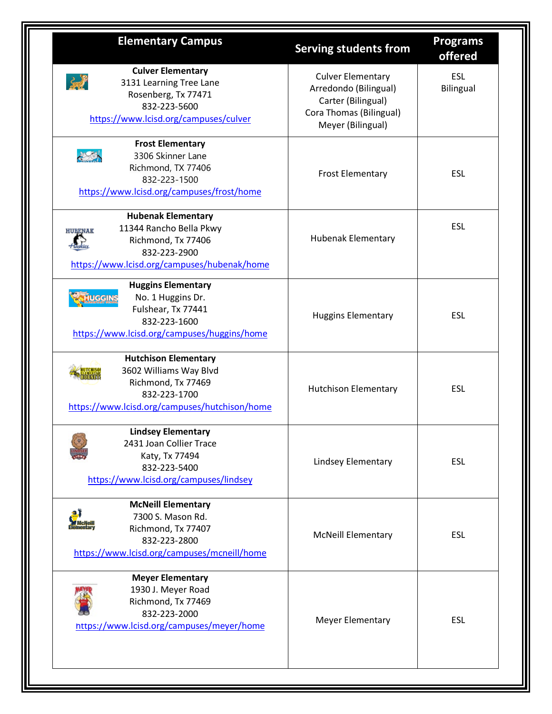| <b>Elementary Campus</b>                                                                                                                                    | <b>Serving students from</b>                                                                                            | <b>Programs</b><br>offered     |
|-------------------------------------------------------------------------------------------------------------------------------------------------------------|-------------------------------------------------------------------------------------------------------------------------|--------------------------------|
| <b>Culver Elementary</b><br>灵<br>3131 Learning Tree Lane<br>Rosenberg, Tx 77471<br>832-223-5600<br>https://www.lcisd.org/campuses/culver                    | <b>Culver Elementary</b><br>Arredondo (Bilingual)<br>Carter (Bilingual)<br>Cora Thomas (Bilingual)<br>Meyer (Bilingual) | <b>ESL</b><br><b>Bilingual</b> |
| <b>Frost Elementary</b><br>$\frac{1}{2}$<br>3306 Skinner Lane<br>Richmond, TX 77406<br>832-223-1500<br>https://www.lcisd.org/campuses/frost/home            | <b>Frost Elementary</b>                                                                                                 | <b>ESL</b>                     |
| <b>Hubenak Elementary</b><br>11344 Rancho Bella Pkwy<br><b>HURENAK</b><br>Richmond, Tx 77406<br>832-223-2900<br>https://www.lcisd.org/campuses/hubenak/home | <b>Hubenak Elementary</b>                                                                                               | <b>ESL</b>                     |
| <b>Huggins Elementary</b><br>No. 1 Huggins Dr.<br><b>IUGGINS</b><br>Fulshear, Tx 77441<br>832-223-1600<br>https://www.lcisd.org/campuses/huggins/home       | <b>Huggins Elementary</b>                                                                                               | <b>ESL</b>                     |
| <b>Hutchison Elementary</b><br>3602 Williams Way Blvd<br>Richmond, Tx 77469<br>832-223-1700<br>https://www.lcisd.org/campuses/hutchison/home                | <b>Hutchison Elementary</b>                                                                                             | <b>ESL</b>                     |
| <b>Lindsey Elementary</b><br>2431 Joan Collier Trace<br>Katy, Tx 77494<br>832-223-5400<br>https://www.lcisd.org/campuses/lindsey                            | Lindsey Elementary                                                                                                      | ESL                            |
| <b>McNeill Elementary</b><br>7300 S. Mason Rd.<br>Richmond, Tx 77407<br>832-223-2800<br>https://www.lcisd.org/campuses/mcneill/home                         | <b>McNeill Elementary</b>                                                                                               | <b>ESL</b>                     |
| <b>Meyer Elementary</b><br>1930 J. Meyer Road<br>Richmond, Tx 77469<br>832-223-2000<br>https://www.lcisd.org/campuses/meyer/home                            | <b>Meyer Elementary</b>                                                                                                 | <b>ESL</b>                     |